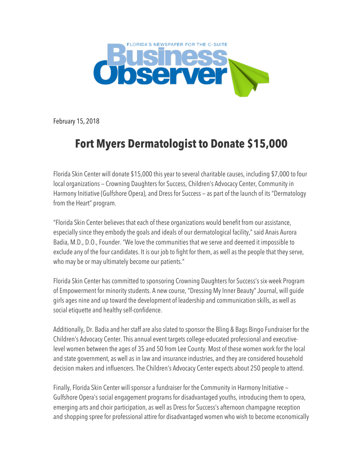

February 15, 2018

## **Fort Myers Dermatologist to Donate \$15,000**

Florida Skin Center will donate \$15,000 this year to several charitable causes, including \$7,000 to four local organizations — Crowning Daughters for Success, Children's Advocacy Center, Community in Harmony Initiative (Gulfshore Opera), and Dress for Success — as part of the launch of its "Dermatology from the Heart" program.

"Florida Skin Center believes that each of these organizations would benefit from our assistance, especially since they embody the goals and ideals of our dermatological facility," said Anais Aurora Badia, M.D., D.O., Founder. "We love the communities that we serve and deemed it impossible to exclude any of the four candidates. It is our job to fight for them, as well as the people that they serve, who may be or may ultimately become our patients."

Florida Skin Center has committed to sponsoring Crowning Daughters for Success's six-week Program of Empowerment for minority students. A new course, "Dressing My Inner Beauty" Journal, will guide girls ages nine and up toward the development of leadership and communication skills, as well as social etiquette and healthy self-confidence.

Additionally, Dr. Badia and her staff are also slated to sponsor the Bling & Bags Bingo Fundraiser for the Children's Advocacy Center. This annual event targets college-educated professional and executivelevel women between the ages of 35 and 50 from Lee County. Most of these women work for the local and state government, as well as in law and insurance industries, and they are considered household decision makers and influencers. The Children's Advocacy Center expects about 250 people to attend.

Finally, Florida Skin Center will sponsor a fundraiser for the Community in Harmony Initiative — Gulfshore Opera's social engagement programs for disadvantaged youths, introducing them to opera, emerging arts and choir participation, as well as Dress for Success's afternoon champagne reception and shopping spree for professional attire for disadvantaged women who wish to become economically